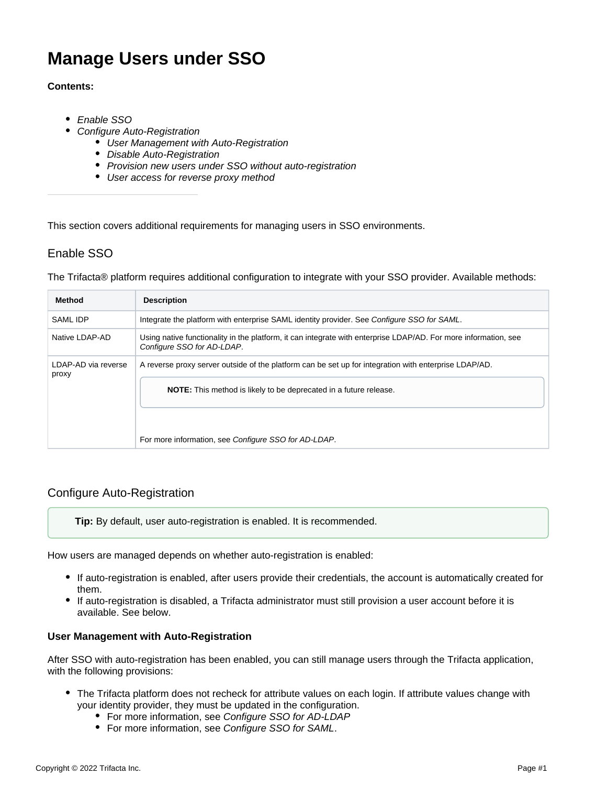# **Manage Users under SSO**

## **Contents:**

- [Enable SSO](#page-0-0)
- [Configure Auto-Registration](#page-0-1)
	- [User Management with Auto-Registration](#page-0-2)
	- [Disable Auto-Registration](#page-1-0)
	- [Provision new users under SSO without auto-registration](#page-1-1)
	- [User access for reverse proxy method](#page-1-2)

This section covers additional requirements for managing users in SSO environments.

# <span id="page-0-0"></span>Enable SSO

The Trifacta® platform requires additional configuration to integrate with your SSO provider. Available methods:

| Method                       | <b>Description</b>                                                                                                                            |
|------------------------------|-----------------------------------------------------------------------------------------------------------------------------------------------|
| <b>SAML IDP</b>              | Integrate the platform with enterprise SAML identity provider. See Configure SSO for SAML.                                                    |
| Native LDAP-AD               | Using native functionality in the platform, it can integrate with enterprise LDAP/AD. For more information, see<br>Configure SSO for AD-LDAP. |
| LDAP-AD via reverse<br>proxy | A reverse proxy server outside of the platform can be set up for integration with enterprise LDAP/AD.                                         |
|                              | <b>NOTE:</b> This method is likely to be deprecated in a future release.                                                                      |
|                              | For more information, see Configure SSO for AD-LDAP.                                                                                          |

# <span id="page-0-1"></span>Configure Auto-Registration

**Tip:** By default, user auto-registration is enabled. It is recommended.

How users are managed depends on whether auto-registration is enabled:

- If auto-registration is enabled, after users provide their credentials, the account is automatically created for them.
- If auto-registration is disabled, a Trifacta administrator must still provision a user account before it is available. See below.

## <span id="page-0-2"></span>**User Management with Auto-Registration**

After SSO with auto-registration has been enabled, you can still manage users through the Trifacta application, with the following provisions:

- The Trifacta platform does not recheck for attribute values on each login. If attribute values change with  $\bullet$ your identity provider, they must be updated in the configuration.
	- For more information, see [Configure SSO for AD-LDAP](https://docs.trifacta.com/display/r087/Configure+SSO+for+AD-LDAP)
		- For more information, see [Configure SSO for SAML](https://docs.trifacta.com/display/r087/Configure+SSO+for+SAML).